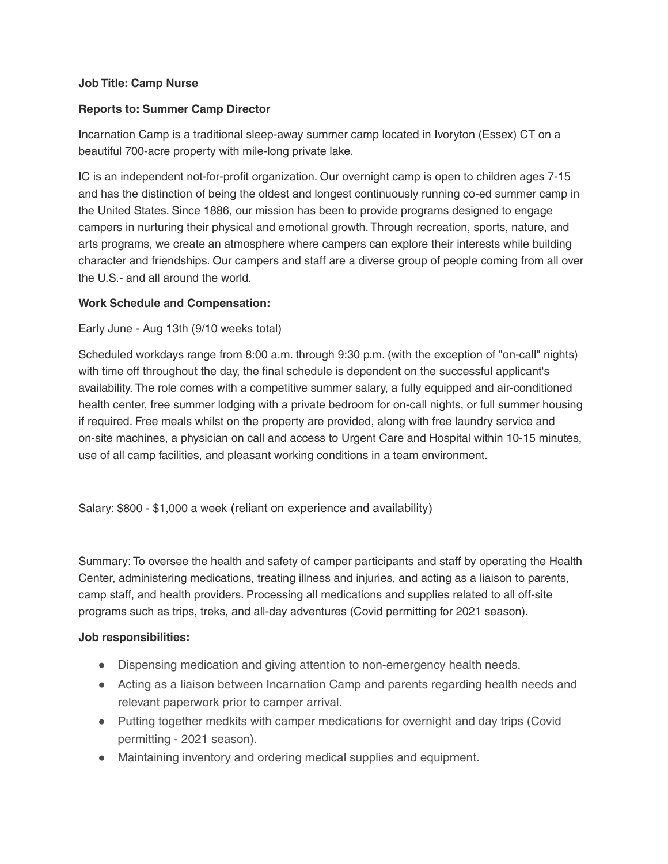## **Job Title: Camp Nurse**

## **Reports to: Summer Camp Director**

Incarnation Camp is a traditional sleep-away summer camp located in Ivoryton (Essex) CT on a beautiful 700-acre property with mile-long private lake.

IC is an independent not-for-profit organization. Our overnight camp is open to children ages 7-15 and has the distinction of being the oldest and longest continuously running co-ed summer camp in the United States. Since 1886, our mission has been to provide programs designed to engage campers in nurturing their physical and emotional growth. Through recreation, sports, nature, and arts programs, we create an atmosphere where campers can explore their interests while building character and friendships. Our campers and staff are a diverse group of people coming from all over the U.S.- and all around the world.

## **Work Schedule and Compensation:**

## Early June - Aug 13th (9/10 weeks total)

Scheduled workdays range from 8:00 a.m. through 9:30 p.m. (with the exception of "on-call" nights) with time off throughout the day, the final schedule is dependent on the successful applicant's availability. The role comes with a competitive summer salary, a fully equipped and air-conditioned health center, free summer lodging with a private bedroom for on-call nights, or full summer housing if required. Free meals whilst on the property are provided, along with free laundry service and on-site machines, a physician on call and access to Urgent Care and Hospital within 10-15 minutes, use of all camp facilities, and pleasant working conditions in a team environment.

Salary: \$800 - \$1,000 a week (reliant on experience and availability)

Summary: To oversee the health and safety of camper participants and staff by operating the Health Center, administering medications, treating illness and injuries, and acting as a liaison to parents, camp staff, and health providers. Processing all medications and supplies related to all off-site programs such as trips, treks, and all-day adventures (Covid permitting for 2021 season).

#### **Job responsibilities:**

- Dispensing medication and giving attention to non-emergency health needs.
- Acting as a liaison between Incarnation Camp and parents regarding health needs and relevant paperwork prior to camper arrival.
- Putting together medkits with camper medications for overnight and day trips (Covid permitting - 2021 season).
- Maintaining inventory and ordering medical supplies and equipment.